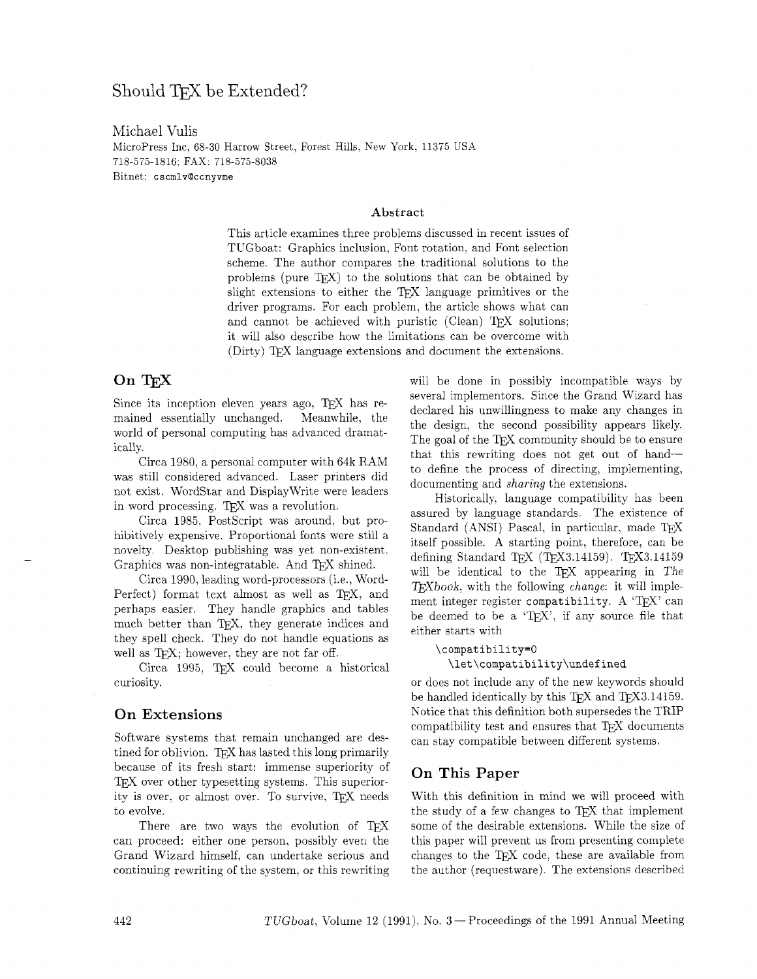# Should TFX be Extended?

Michael Vulis Micropress Inc, 68-30 Harrow Street, Forest Hills, New York. 11375 USA 718-575-1816: FAX: 718-575-8038 Bitnet: **cscmlv@ccnyvme** 

#### **Abstract**

This article examines three problems discussed in recent issues of TUGboat: Graphics inclusion, Font rotation, and Font selection scheme. The author compares the traditional solutions to the problems (pure  $Tr(X)$  to the solutions that can be obtained by slight extensions to either the TEX language primitives or the driver programs. For each problem, the article shows what can and cannot be achieved with puristic (Clean) TFX solutions; it will also describe how the limitations can be overcome with (Dirty) TEX language extensions and document the extensions.

# On TFX

Since its inception eleven years ago,  $TFX$  has remained essentially unchanged. Meanwhile, the world of personal computing has advanced dramatically.

Circa 1980, a personal computer with 64k RAM was still considered advanced. Laser printers did not exist. WordStar and DisplayWrite were leaders in word processing. TEX was a revolution.

Circa 1985, PostScript was around, but prohibitively expensive. Proportional fonts were still a novelty. Desktop publishing was yet non-existent. Graphics was non-integratable. And TFX shined.

Circa 1990, leading word-processors (i.e., Word-Perfect) format text almost as well as TFX, and perhaps easier. They handle graphics and tables much better than TFX, they generate indices and they spell check. They do not handle equations as well as TFX; however, they are not far off.

Circa 1995, TFX could become a historical curiosity.

### On Extensions

Software systems that remain unchanged are destined for oblivion. TFX has lasted this long primarily because of its fresh start: immense superiority of T<sub>E</sub>X over other typesetting systems. This superiority is over, or almost over. To survive, TEX needs to evolve.

There are two ways the evolution of TEX can proceed: either one person, possibly even the Grand Wizard himself, can undertake serious and continuing rewriting of the system, or this rewriting will be done in possibly incompatible ways by several implementors. Since the Grand Wizard has declared his unwillingness to make any changes in the design, the second possibility appears likely. The goal of the TFX community should be to ensure that this rewriting does not get out of handto define the process of directing, implementing, documenting and sharing the extensions.

Historically. language compatibility has been assured by language standards. The existence of Standard (ANSI) Pascal, in particular, made TFX itself possible. A starting point, therefore, can be defining Standard TEX (TEX3.14159). TEX3.14159 will be identical to the TEX appearing in The  $TFXbook$ , with the following *change*: it will implement integer register compatibility. A 'TFX' can be deemed to be a 'T $EX$ ', if any source file that either starts with

#### **\compatibility=O**

**\let\compatibility\undefined** 

or does not include any of the new keywords should be handled identically by this TEX and TEX3.14159. Notice that this definition both supersedes the TRIP compatibility test and ensures that TFX documents can stay compatible between different systems.

### On This Paper

With this definition in mind we will proceed with the study of a few changes to TFX that implement some of the desirable extensions. While the size of this paper will prevent us from presenting complete changes to the TFX code, these are available from the author (requestware). The extensions described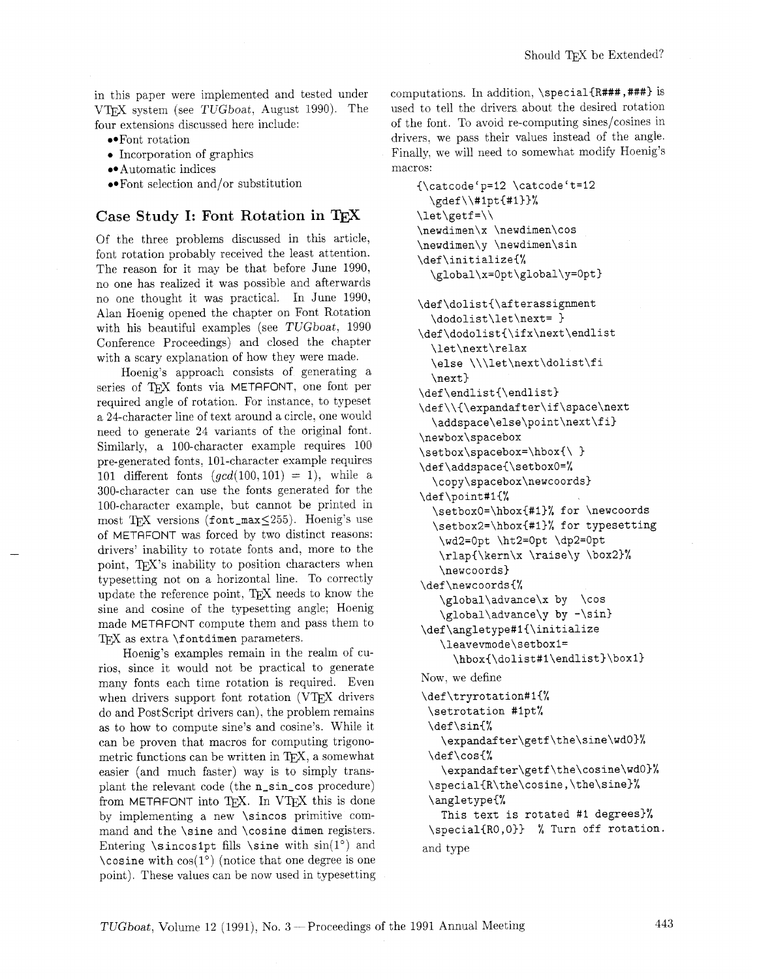in this paper were implemented and tested under VTEX system (see TUGboat, August 1990). The four extensions discussed here include:

- Font rotation
- Incorporation of graphics
- Automatic indices

Font selection and/or substitution

# Case Study I: Font Rotation in

Of the three problems discussed in this article, font rotation probably received the least attention. The reason for it may be that before June 1990, no one has realized it was possible and afterwards no one thought it was practical. In June 1990. Alan Hoenig opened the chapter on Font Rotation with his beautiful examples (see TUGboat, 1990 Conference Proceedings) and closed the chapter with a scary explanation of how they were made.

Hoenig's approach consists of generating a series of TFX fonts via METAFONT, one font per required angle of rotation. For instance, to typeset a 24-character line of text around a circle, one would need to generate 24 variants of the original font. Similarly, a 100-character example requires 100 pre-generated fonts. 101-character example requires 101 different fonts  $(gcd(100,101) = 1)$ , while a 300-character can use the fonts generated for the 100-character example, but cannot be printed in most TFX versions (font\_max $\leq$ 255). Hoenig's use of METAFONT was forced by two distinct reasons: drivers' inability to rotate fonts and, more to the point, TFX's inability to position characters when typesetting not on a horizontal line. To correctly update the reference point, TFX needs to know the sine and cosine of the typesetting angle; Hoenig made METAFONT compute them and pass them to TFX as extra **\fontdimen** parameters.

Hoenig's examples remain in the realm of curios, since it would not be practical to generate many fonts each time rotation is required. Even when drivers support font rotation (VTFX drivers do and PostScript drivers can), the problem remains as to how to compute sine's and cosine's. While it can be proven that macros for computing trigonometric functions can be written in TEX, a somewhat easier (and much faster) way is to simply transplant the relevant code (the **n-sin-cos** procedure) from METAFONT into TFX. In VTFX this is done by implementing a new **\sincos** primitive command and the **\sine** and **\cosine dimen** registers. Entering  $\sin\cosh\theta$  fills  $\sin\theta$  with  $\sin(1^{\circ})$  and **\cosine** with  $cos(1^{\circ})$  (notice that one degree is one point). These values can be now used in typesetting computations. In addition, **\special{R###** ,###I is used to tell the drivers about the desired rotation of the font. To avoid re-computing sines/cosines in drivers. we pass their values instead of the angle. Finally. we will need to somewhat modify Hoenig's macros:

```
{\catcode'p=12 \catcode't=12 
  \gdef \\#lptC#l3)% 
\let\getf =\\ 
\newdimen\x \newdimen\cos 
\newdimen\y \newdimen\sin 
\def\initialize{% 
  \global\x=Opt\global\y=Opt) 
\def\dolist{\afterassignment 
  \dodolist\let\next= 
\def\dodolist{\ifx\next\endlist 
  \let\next\relax 
  \else \\\let\next\dolist\fi 
  \next) 
\def\endlist{\endlist) 
\def\\{\expandafter\if\space\next 
  \addspace\else\point\next\fi) 
\newbox\spacebox 
\setbox\spacebox=\hbox{\ 
\def\addspace{\setboxO=% 
  \copy\spacebox\newcoords) 
\def\point#l{% 
  \setboxO=\hbox{#l)% for \newcoords 
  \setbox2=\hbox{#l)% for typesetting 
   \wd2=0pt \ht2=0pt \dp2=0pt 
   \rlap(\kern\x \raise\y \box2)% 
   \newcoords) 
\def\newcoords{% 
   \global\advance\x by \cos 
   \global\advance\y by -\sin) 
\def\angletype#i{\initialize 
   \leavevmode\setboxl= 
      \hbox{\dolist#1\endlist}\box1}
Now. we define 
\def\tryrotation#l{% 
 \setrotation #lpt% 
 \def\sinC% 
    \expandafter\getf\the\sine\wdO)% 
 \def\cos{% 
    \expandafter\getf\the\cosine\wdO)% 
  \special{R\the\cosine,\the\sine)% 
  \angletype{% 
    This text is rotated #1 degrees)% 
  \special{RO,O)) % Turn off rotation. 
and type
```
TUGboat, Volume 12 (1991), No. 3 - Proceedings of the 1991 Annual Meeting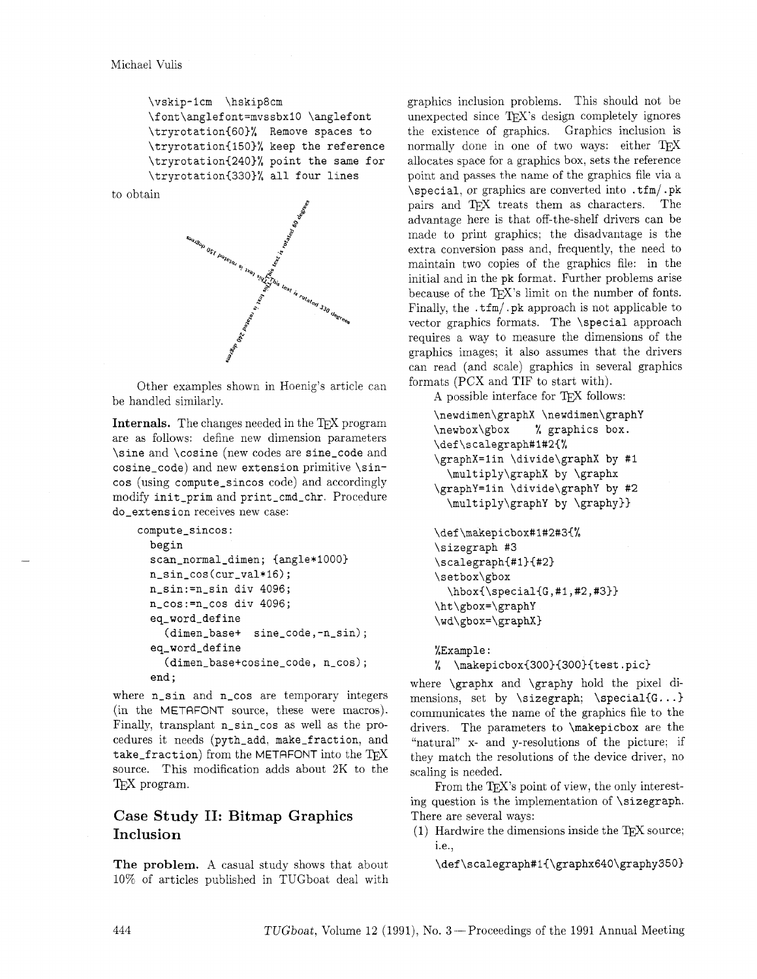```
\vskip-lcm ?hskip8cm 
\font\anglefont=mvssbxl0 \anglefont 
\tryrotation{60)% Remove spaces to 
\tryrotation{150)% keep the reference 
\tryrotation{240)% point the same for 
\tryrotation{330)% all four lines
```




Other examples shown in Hoenig's article can be handled similarly.

Internals. The changes needed in the TEX program are as follows: define new dimension parameters **\sine** and **\cosine** (new codes are **sine-code** and **cosine-code)** and new **extension** primitive **\sincos** (using **compute-sincos** code) and accordingly modify **init-prim** and **print-cmd-chr.** Procedure **do-ext ens ion** receives new case:

```
compute-sincos: 
  begin 
  scan-normal-dimen; {angle*1000) 
  n-sin-cos (cur-val*16) ; 
  n-sin:=n-sin div 4096; 
  n-cos:=n-cos div 4096; 
  eq-word-def ine 
    (dimen-base+ sine-code,-n-sin); 
  eq-word-define 
    (dimen-base+cosine-code, n-cos); 
  end ;
```
where **n-sin** and **n-cos** are temporary integers (in the METAFONT source, these were macros). Finally, transplant **n-sin-cos** as well as the procedures it needs **(pyth-add, make-fraction,** and take\_fraction) from the METAFONT into the TFX source. This modification adds about 2K to the T<sub>F</sub>X program.

# Case Study **11:** Bitmap Graphics Inclusion

The problem. A casual study shows that about 10% of articles published in TUGboat deal with graphics inclusion problems. This should not be unexpected since TEX's design completely ignores the existence of graphics. Graphics inclusion is normally done in one of two ways: either  $T_F X$ allocates space for a graphics box, sets the reference point and passes the name of the graphics file via a **\special,** or graphics are converted into . **tfm/** . **pk**  pairs and TFX treats them as characters. The advantage here is that off-the-shelf drivers can be made to print graphics; the disadvantage is the extra conversion pass and, frequently, the need to maintain two copies of the graphics file: in the initial and in the **pk** format. Further problems arise because of the TEX's limit on the number of fonts. Finally, the . **tfm/ .pk** approach is not applicable to vector graphics formats. The **\special** approach requires a way to measure the dimensions of the graphics images; it also assumes that the drivers can read (and scale) graphics in several graphics formats (PCX and TIF to start with).

A possible interface for TFX follows:

```
\newdimen\graphX \newdimen\graphY 
\newbox\gbox % graphics box. 
\def\scalegraph#l#2{% 
\graphX=lin \divide\graphX by #I 
  \multiply\graphX by \graphx 
\graphY=lin \divide\graphY by #2 
  \multiply\graphY by \graphy))
```

```
\def\makepicbox#1#2#3{%
\sizegraph #3
\scalegraph{#1}{#2}
\setbox\gbox
  \hbox{\tt \shbox{Special}(G, #1, #2, #3}}\ht\gbox=\graphY
\wd\gbox=\graphX}
```
**%Example** :

% **\makepicbox~300){300){test.pic)** 

where **\graphx** and **\graphy** hold the pixel di mensions, set by **\sizegraph; \special{G.**  . **.I**  communicates the name of the graphics file to the drivers. The parameters to **\makepicbox** are the "natural" x- and y-resolutions of the picture; if they match the resolutions of the device driver, no scaling is needed.

From the T<sub>F</sub>X's point of view, the only interesting question is the implementation of **\sizegraph.**  There are several ways:

(1) Hardwire the dimensions inside the TEX source; i.e.,

**\def \scalegraph#l{\graphx640\graphy350)**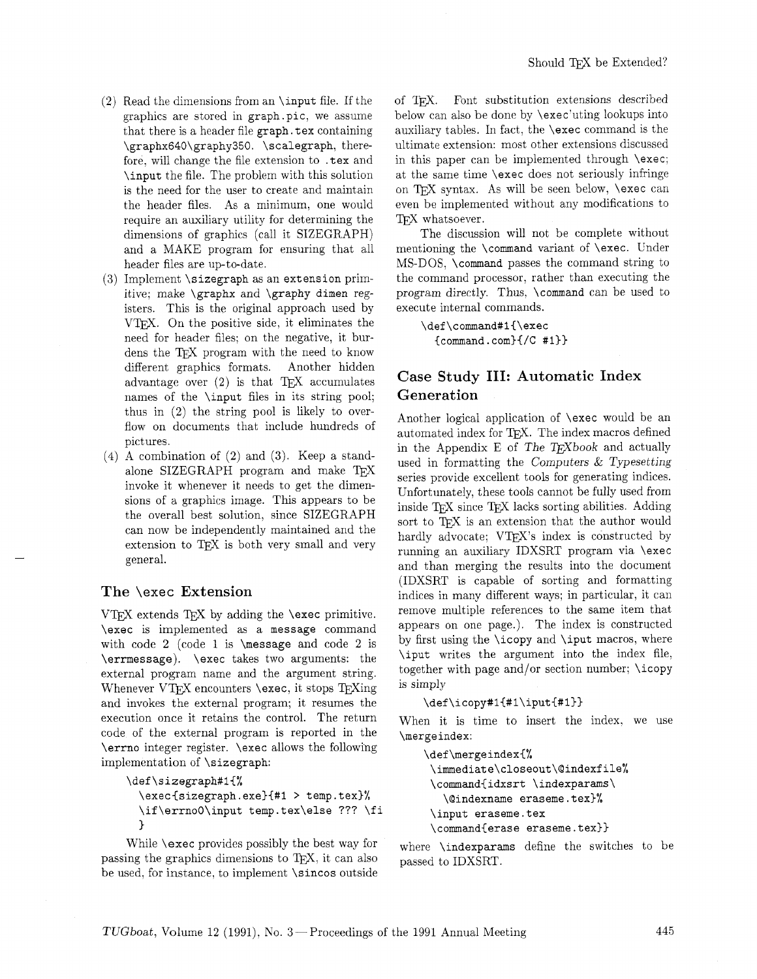- $(2)$  Read the dimensions from an \input file. If the graphics are stored in graph.pic, we assume that there is a header file graph. tex containing \graphx640\graphy350. \scalegraph, therefore. will change the file extension to . tex and \input the file. The problem with this solution is the need for the user to create and maintain the header files. As a minimum, one would require an auxiliary utility for determining the dimensions of graphics (call it SIZEGRAPH) and a MAKE program for ensuring that all header files are up-to-date.
- $(3)$  Implement  $\simeq$  sizegraph as an extension primitive; make \graphx and \graphy dimen registers. This is the original approach used by VT<sub>F</sub>X. On the positive side, it eliminates the need for header files; on the negative, it burdens the TFX program with the need to know different graphics formats. Another hidden advantage over  $(2)$  is that T<sub>F</sub>X accumulates names of the \input files in its string pool; thus in (2) the string pool is likely to overflow on documents that include hundreds of pictures.
- $(4)$  A combination of  $(2)$  and  $(3)$ . Keep a standalone SIZEGRAPH program and make TEX invoke it whenever it needs to get the dimensions of a graphics image. This appears to be the overall best solution, since SIZEGRAPH can now be independently maintained and the extension to TEX is both very small and very general.

### The **\exec** Extension

VTFX extends TFX by adding the  $\text{exec primitive.}$ \exec is implemented as a message command with code 2 (code 1 is  $m$ essage and code 2 is \errmessage). \exec takes two arguments: the external program name and the argument string. Whenever VTEX encounters  $\text{exec}$ , it stops TEXing and invokes the external program; it resumes the execution once it retains the control. The return code of the external program is reported in the \errno integer register. \exec allows the following implementation of \sizegraph:

```
\def\sizegraph#l{%
```
\execisizegraph. exe){#l > temp. tex)% \if\errnoO\input temp.tex\else ??? \fi )

While \exec provides possibly the best way for passing the graphics dimensions to TEX, it can also be used, for instance, to implement \sincos outside of T<sub>F</sub>X. Font substitution extensions described below can also be done by **\exec'uting lookups** into auxiliary tables. In fact, the \exec command is the ultimate extension: most other extensions discussed in this paper can be implemented through \exec: at the same time \exec does not seriously infringe on TEX syntax. As will be seen below, \exec can even be implemented without any modifications to TFX whatsoever.

The discussion will not be complete without mentioning the \command variant of \exec. Under MS-DOS, \command passes the command string to the command processor, rather than executing the program directly. Thus, \command can be used to execute internal commands.

```
\def\command#1{\exec
  {command.com){/C #I))
```
# Case Study 111: Automatic Index Generation

Another logical application of \exec would be an automated index for TFX. The index macros defined in the Appendix E of The T $FXbook$  and actually used in formatting the Computers & Typesetting series provide excellent tools for generating indices. Unfortunately, these tools cannot be fully used from inside TEX since TEX lacks sorting abilities. Adding sort to TFX is an extension that the author would hardly advocate; VTEX's index is constructed by running an auxiliary IDXSRT program via \exec and than merging the results into the document (IDXSRT is capable of sorting and formatting indices in many different ways; in particular, it can remove multiple references to the same item that appears on one page.). The index is constructed by first using the \icopy and \iput macros, where \iput writes the argument into the index file. together with page and/or section number; \icopy is simply

```
\def \icopy#l{#l\iput{#l)]
```
When it is time to insert the index. we use \merge index:

```
\def\mergeindex{% 
\immediate\closeout\@indexfile% 
\command{idxsrt \indexparams\ 
   \Qindexname eraseme.tex)% 
\input eraseme.tex 
\command{erase eraseme.tex))
```
where \indexparams define the switches to be passed to IDXSRT.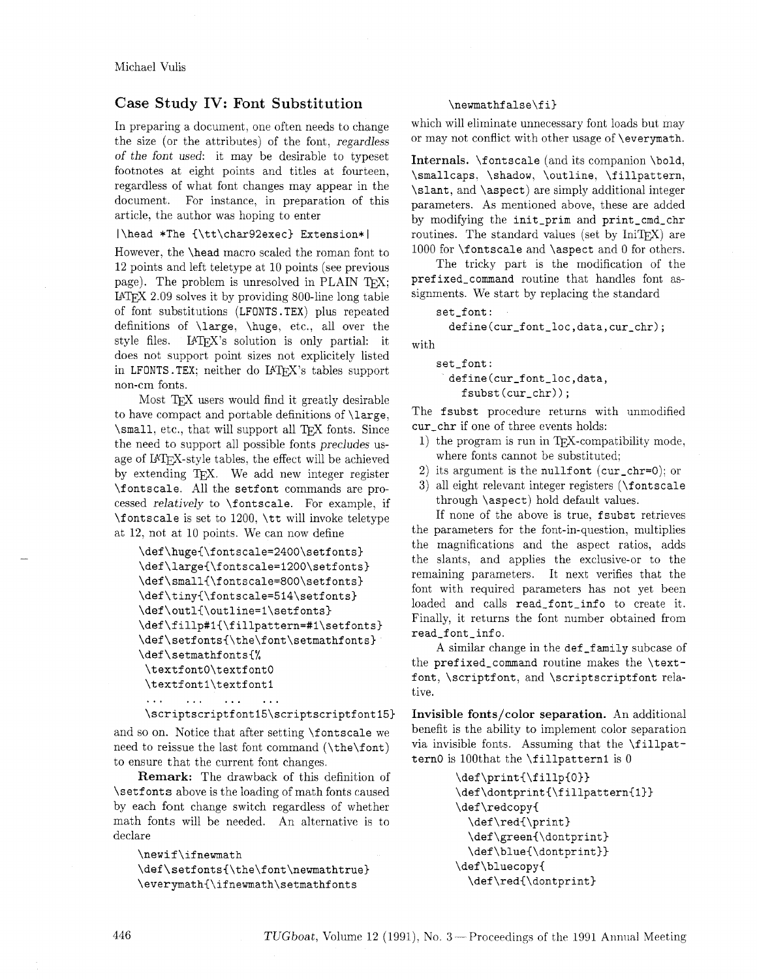## Case Study IV: Font Substitution

In preparing a document, one often needs to change the size (or the attributes) of the font, regardless of the font used: it may be desirable to typeset footnotes at eight points and titles at fourteen, regardless of what font changes may appear in the document. For instance, in preparation of this article, the author was hoping to enter

### |\head \*The {\tt\char92exec} Extension\*|

However, the \head macro scaled the roman font to 12 points and left teletype at 10 points (see previous page). The problem is unresolved in PLAIN TFX; IATEX 2.09 solves it by providing 800-line long table of font substitutions (LFONTS.TEX) plus repeated definitions of \large, \huge, etc., all over the style files. IATEX's solution is only partial: it does not support point sizes not explicitely listed in LFONTS. TEX; neither do IATEX's tables support non-cm fonts.

Most TEX users would find it greatly desirable to have compact and portable definitions of \large, \small, etc., that will support all TEX fonts. Since the need to support all possible fonts precludes usage of IATFX-style tables, the effect will be achieved by extending T<sub>F</sub>X. We add new integer register \fontscale. All the setfont commands are processed relatively to **\fontscale**. For example, if \fontscale is set to 1200, \tt will invoke teletype at 12. not at 10 points. We can now define

```
\def\huge{\fontscale=2400\setfonts}
\def\large{\fontscale=1200\setfonts}
\def\small{\fontscale=800\setfonts}
\def\tiny{\fontscale=514\setfonts}
\def\outl{\outline=1\setfonts}
\def\fillp#1{\fillpattern=#1\setfonts}
\def\setfonts{\the\font\setmathfonts}
\def\setmathfonts{%
\textfont0\textfont0
 \textfont1\textfont1
 \ddotsc\mathbf{1}\mathbf{1}\mathbf{A}
```
\scriptscriptfont15\scriptscriptfont15}

and so on. Notice that after setting \f ontscale we need to reissue the last font command (\the\font) to ensure that the current font changes.

Remark: The drawback of this definition of \setf ont s above is the loading of math fonts caused by each font change switch regardless of whether math fonts will be needed. An alternative is to declare

```
\newif\ifnewmath
\def\setfonts{\the\font\newmathtrue}
\everymath{\ifnewmath\setmathfonts
```
### \newmathfalse\fi}

which will eliminate unnecessary font loads but may or may not conflict with other usage of \everymath.

Internals. \f ontscale (and its companion \bold, \smallcaps. \shadow, \outline, \fillpattern, \slant, and \aspect) are simply additional integer parameters. As mentioned above, these are added by modifying the init-prim and print-cmd-chr routines. The standard values (set by  $Inifrx$ ) are 1000 for \fontscale and \aspect and 0 for others.

The tricky part is the modification of the prefixed-command routine that handles font assignments. We start by replacing the standard

```
set_font:
```
**define(cur-font-loc,data,cur-chr);** 

with

set\_font: **define(cur-font-loc,data,**  fsubst(cur\_chr));

The fsubst procedure returns with unmodified cur-chr if one of three events holds:

- 1) the program is run in  $T_FX$ -compatibility mode, where fonts cannot be substituted;
- 2) its argument is the nullfont ( $cur_cchr=0$ ); or
- **3)** all eight relevant integer registers (\font scale through \aspect) hold default values.

If none of the above is true, fsubst retrieves the parameters for the font-in-question, multiplies the magnifications and the aspect ratios, adds the slants, and applies the exclusive-or to the remaining parameters. It next verifies that the font with required parameters has not yet been loaded and calls read\_font\_info to create it. Finally, it returns the font number obtained from read-font-info.

A similar change in the def\_family subcase of the prefixed\_command routine makes the \textfont, \scriptfont, and \scriptscriptfont relative.

Invisible fonts/color separation. An additional benefit is the ability to implement color separation via invisible fonts. Assuming that the \fillpattern0 is 100that the  $\tilde{\text{1}}$  is 0

```
\def\print{\fillp{0}}
\def\dontprint{\fillpattern{1}}
\def\redcopy{
  \def\red{\print}
  \def\green{\dontprint}
  \def\blue{\dontprint}}
\def\bluecopy{
  \def\red{\dontprint}
```